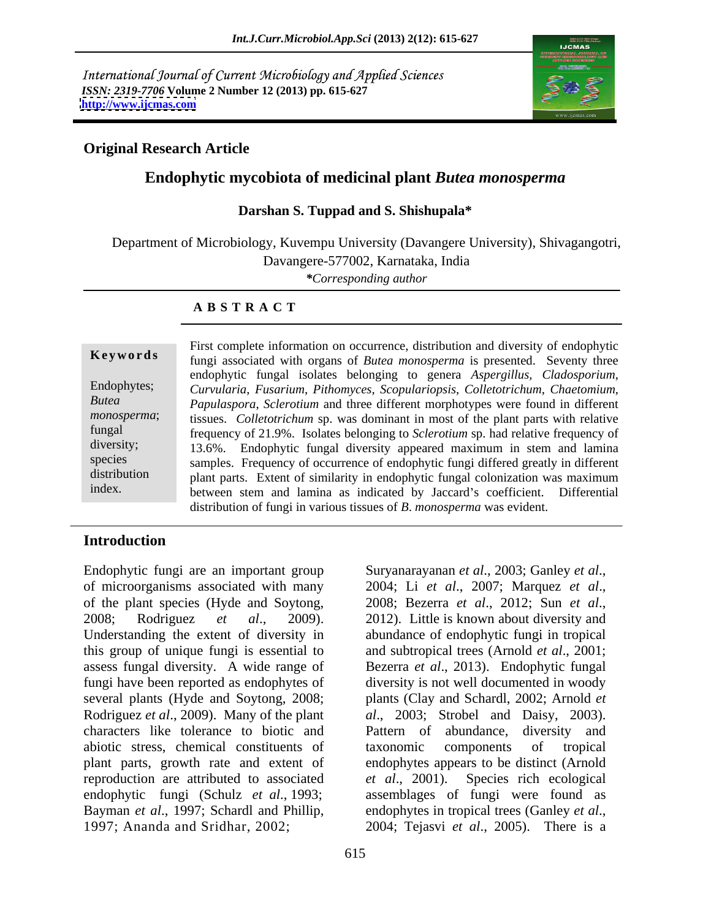International Journal of Current Microbiology and Applied Sciences *ISSN: 2319-7706* **Volume 2 Number 12 (2013) pp. 615-627 <http://www.ijcmas.com>**



### **Original Research Article**

## **Endophytic mycobiota of medicinal plant** *Butea monosperma*

### **Darshan S. Tuppad and S. Shishupala\***

Department of Microbiology, Kuvempu University (Davangere University), Shivagangotri, Davangere-577002, Karnataka, India

*\*Corresponding author* 

### **A B S T R A C T**

**Keywords** fungi associated with organs of *Butea monosperma* is presented. Seventy three Endophytes; *Curvularia*, *Fusarium*, *Pithomyces*, *Scopulariopsis*, *Colletotrichum*, *Chaetomium*, *Butea Papulaspora*, *Sclerotium* and three different morphotypes were found in different *monosperma*; tissues. *Colletotrichum* sp. was dominant in most of the plant parts with relative fungal frequency of 21.9%. Isolates belonging to *Sclerotium* sp. had relative frequency of diversity; 13.6%. Endophytic fungal diversity appeared maximum in stem and lamina species samples. Frequency of occurrence of endophytic fungi differed greatly in different distribution plant parts. Extent of similarity in endophytic fungal colonization was maximum index. between stem and lamina as indicated by Jaccard's coefficient. Differential First complete information on occurrence, distribution and diversity of endophytic endophytic fungal isolates belonging to genera *Aspergillus, Cladosporium*, distribution of fungi in various tissues of *B*. *monosperma* was evident.

### **Introduction**

Endophytic fungi are an important group Suryanarayanan et al., 2003; Ganley et al., of microorganisms associated with many 2004; Li et al., 2007; Marquez et al., of the plant species (Hyde and Soytong, 2008; Bezerra et al., 2012; Sun et al., 2008; Rodriguez *et al*., 2009). Understanding the extent of diversity in abundance of endophytic fungi in tropical this group of unique fungi is essential to and subtropical trees (Arnold *et al*., 2001; assess fungal diversity. A wide range of Bezerra *et al*., 2013). Endophytic fungal fungi have been reported as endophytes of diversity is not well documented in woody several plants (Hyde and Soytong, 2008; Rodriguez *et al*., 2009). Many of the plant *al*., 2003; Strobel and Daisy, 2003). characters like tolerance to biotic and Pattern of abundance, diversity and abiotic stress, chemical constituents of taxonomic components of tropical plant parts, growth rate and extent of endophytes appears to be distinct (Arnold reproduction are attributed to associated et al., 2001). Species rich ecological endophytic fungi (Schulz *et al*., 1993; assemblages of fungi were found as Bayman *et al.*, 1997; Schardl and Phillip, endophytes in tropical trees (Ganley *et al.*, 1997; Ananda and Sridhar, 2002; 2004; Tejasvi et al., 2005). There is a

Suryanarayanan *et al.*, 2003; Ganley *et al.*,<br>2004; Li *et al.*, 2007; Marquez *et al.*,<br>2008; Bezerra *et al.*, 2012; Sun *et al.*,<br>2012). Little is known about diversity and plants (Clay and Schardl, 2002; Arnold *et*  taxonomic components of tropical *et al*., 2001). Species rich ecological endophytes in tropical trees (Ganley *et al*., 2004; Tejasvi *et al*., 2005). There is <sup>a</sup>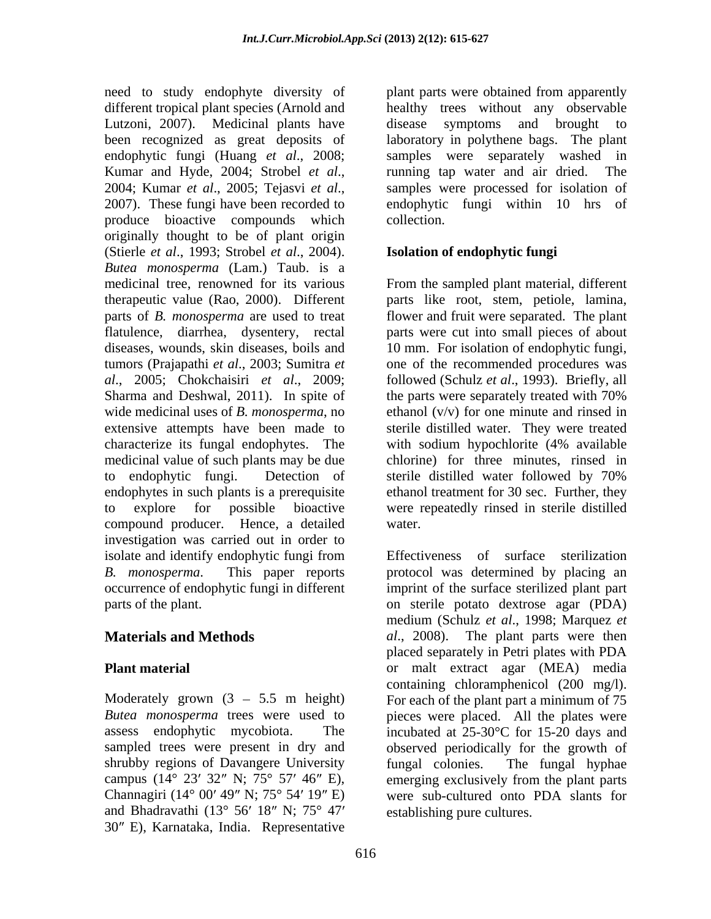need to study endophyte diversity of plant parts were obtained from apparently different tropical plant species (Arnold and healthy trees without any observable Lutzoni, 2007). Medicinal plants have disease symptoms and brought to been recognized as great deposits of laboratory in polythene bags. The plant endophytic fungi (Huang *et al*., 2008; samples were separately washed in Kumar and Hyde, 2004; Strobel *et al.*, <br>
2004; Kumar *et al.*, 2005; Tejasvi *et al.*, samples were processed for isolation of<br>
2007). These fungi have been recorded to endophytic fungi within 10 hrs of produce bioactive compounds which originally thought to be of plant origin (Stierle *et al*., 1993; Strobel *et al*., 2004). *Butea monosperma* (Lam.) Taub. is a medicinal tree, renowned for its various From the sampled plant material, different therapeutic value (Rao, 2000). Different parts like root, stem, petiole, lamina, parts of *B. monosperma* are used to treat flower and fruit were separated. The plant flatulence, diarrhea, dysentery, rectal parts were cut into small pieces of about diseases, wounds, skin diseases, boils and 10 mm. For isolation of endophytic fungi, tumors (Prajapathi *et al*., 2003; Sumitra *et*  one of the recommended procedures was *al*., 2005; Chokchaisiri *et al*., 2009; followed (Schulz *et al*., 1993). Briefly, all Sharma and Deshwal, 2011). In spite of the parts were separately treated with 70% wide medicinal uses of *B. monosperma*, no extensive attempts have been made to sterile distilled water. They were treated characterize its fungal endophytes. The medicinal value of such plants may be due to endophytic fungi. Detection of endophytes in such plants is a prerequisite ethanol treatment for 30 sec. Further, they to explore for possible bioactive were repeatedly rinsed in sterile distilled compound producer. Hence, a detailed investigation was carried out in order to isolate and identify endophytic fungi from Effectiveness of surface sterilization *B. monosperma*. This paper reports protocol was determined by placing an occurrence of endophytic fungi in different imprint of the surface sterilized plant part

shrubby regions of Davangere University fungal colonies. The fungal hyphae campus (14° 23′ 32″ N; 75° 57′ 46″ E), emerging exclusively from the plant parts and Bhadravathi (13 $\degree$  56' 18" N; 75 $\degree$  47' 30" E), Karnataka, India. Representative

disease symptoms and brought to running tap water and air dried. The samples were processed for isolation of endophytic fungi within 10 hrs of collection.

## **Isolation of endophytic fungi**

the parts were separately treated with 70% ethanol (v/v) for one minute and rinsed in with sodium hypochlorite (4% available chlorine) for three minutes, rinsed in sterile distilled water followed by 70% water.

parts of the plant. on sterile potato dextrose agar (PDA) **Materials and Methods** *al*., 2008). The plant parts were then **Plant material** or malt extract agar (MEA) media Moderately grown  $(3 - 5.5 \text{ m height})$  For each of the plant part a minimum of 75 *Butea monosperma* trees were used to pieces were placed. All the plates were assess endophytic mycobiota. The incubated at 25-30°C for 15-20 days and sampled trees were present in dry and observed periodically for the growth of Channagiri ( $14^{\circ}$  00'  $49''$  N;  $75^{\circ}$  54'  $19''$  E) were sub-cultured onto PDA slants for Effectiveness of surface sterilization medium (Schulz *et al*., 1998; Marquez *et*  placed separately in Petri plates with PDA containing chloramphenicol (200 mg/l). fungal colonies. The fungal hyphae emerging exclusively from the plant parts establishing pure cultures.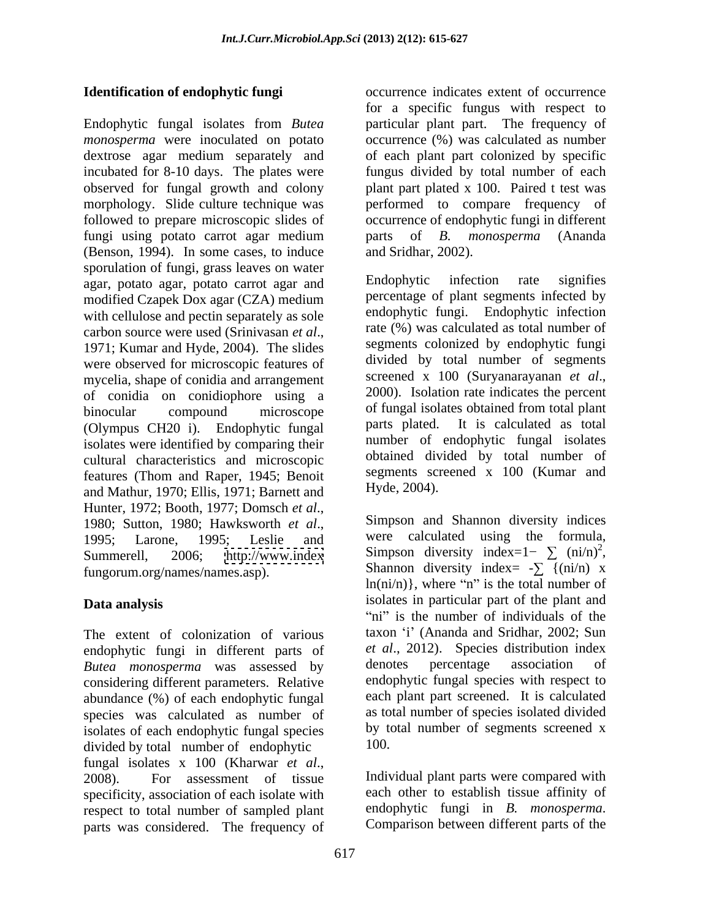Endophytic fungal isolates from *Butea*  particular plant part. The frequency of monosperma were inoculated on potato occurrence (%) was calculated as number dextrose agar medium separately and of each plant part colonized by specific incubated for 8-10 days. The plates were observed for fungal growth and colony plant part plated x 100. Paired t test was morphology. Slide culture technique was performed to compare frequency of followed to prepare microscopic slides of occurrence of endophytic fungi in different fungi using potato carrot agar medium parts of B. monosperma (Ananda (Benson, 1994). In some cases, to induce and Sridhar, 2002). sporulation of fungi, grass leaves on water<br>
agar notato agar notato carrot agar and<br>
Endophytic infection rate signifies agar, potato agar, potato carrot agar and modified Czapek Dox agar (CZA) medium with cellulose and pectin separately as sole carbon source were used (Srinivasan *et al.*,<br>1971; Kumar and Hyde, 2004). The slides segments colonized by endophytic fungi were observed for microscopic features of divided by total number of segments<br>mycelia shape of conidia and arrangement screened x 100 (Suryanarayanan *et al.*, mycelia, shape of conidia and arrangement<br>of conidia on conidion bore using a 2000). Isolation rate indicates the percent of conidia on conidiophore using a binocular compound microscope of fungal isolates obtained from total plant (Olympus CH20 i). Endophytic fungal isolates were identified by comparing their cultural characteristics and microscopic features (Thom and Raper, 1945; Benoit and Mathur, 1970; Ellis, 1971; Barnett and Hunter, 1972; Booth, 1977; Domsch *et al.*,<br>1980; Sutton, 1980; Hawksworth *et al.*, Simpson and Shannon diversity indices<br>1995; Larone, 1995; Leslie and were calculated using the formula, Summerell, 2006; <http://www.index> Simpson diversity index=1-  $\sum$  (ni/n)<sup>2</sup>, fungorum.org/names/names.asp). Shannon diversity index=  $-\sum$  {(ni/n) x

The extent of colonization of various endophytic fungi in different parts of et al., 2012). Species distribution index<br>Butea monosperma was assessed by denotes percentage association of *Butea monosperma* was assessed by considering different parameters. Relative abundance (%) of each endophytic fungal species was calculated as number of isolates of each endophytic fungal species by the divided by total number of endophytic  $100$ . divided by total number of endophytic fungal isolates <sup>x</sup> <sup>100</sup> (Kharwar *et al*., 2008). For assessment of tissue specificity, association of each isolate with each other to establish tissue affinity of respect to total number of sampled plant endophytic fungi in  $B$ . monosperma. respect to total number of sampled plant endophytic fungi in *B. monosperma.*<br>narts was considered. The frequency of Comparison between different parts of the parts was considered. The frequency of

**Identification of endophytic fungi** *CONDER CONTREGALES CONTREGALES EXTENT* **OF OCCURREGALISTS OF OCCURREGALISTS OF OCCURREGALISTS OF OCCURREGALISTS OF OCCURREGALISTS OF OCCURREGALISTS OF OCCURREGALISTS OF OCCURREGALISTS** for a specific fungus with respect to fungus divided by total number of each parts of *B. monosperma* (Ananda and Sridhar, 2002).

> Endophytic infection rate signifies percentage of plant segments infected by endophytic fungi. Endophytic infection rate (%) was calculated as total number of segments colonized by endophytic fungi divided by total number of segments screened <sup>x</sup> <sup>100</sup> (Suryanarayanan *et al*., 2000). Isolation rate indicates the percent parts plated. It is calculated as total number of endophytic fungal isolates obtained divided by total number of segments screened x 100 (Kumar and Hyde, 2004).

**Data analysis** isolates in particular part of the plant and Simpson and Shannon diversity indices were calculated using the formula, Simpson diversity index= $1-\sum (\text{ni/n})^2$ ,<br>Shannon diversity index=  $-\sum (\text{ni/n})$  x  $ln(ni/n)$ , where "n" is the total number of "ni" is the number of individuals of the taxon 'i' (Ananda and Sridhar, 2002; Sun *et al.*, 2012). Species distribution index denotes percentage association of endophytic fungal species with respect to each plant part screened. It is calculated as total number of species isolated divided by total number of segments screened x 100.

> Individual plant parts were compared with each other to establish tissue affinity of endophytic fungi in *B. monosperma*. Comparison between different parts of the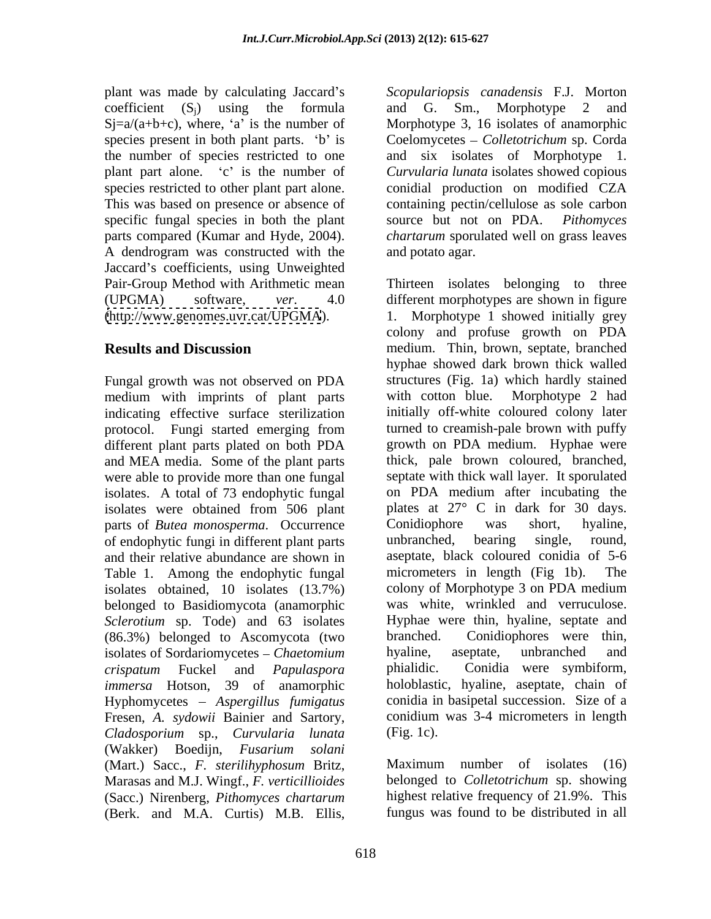plant part alone. 'c' is the number of specific fungal species in both the plant source but not on PDA. Pithomyces A dendrogram was constructed with the Jaccard's coefficients, using Unweighted

Fungal growth was not observed on PDA structures (Fig. 1a) which hardly stained<br>medium with imprints of plant parts with cotton blue. Morphotype 2 had medium with imprints of plant parts with cotton blue. indicating effective surface sterilization different plant parts plated on both PDA and MEA media. Some of the plant parts were able to provide more than one fungal isolates. A total of 73 endophytic fungal isolates were obtained from 506 plant plates at 27° C in dark for 30 days.<br>
parts of *Butea monosperma*. Occurrence Conidiophore was short, hyaline, parts of *Butea monosperma*. Occurrence Conidiophore was of endophytic fungi in different plant parts and their relative abundance are shown in Table 1. Among the endophytic fungal micrometers in length (Fig 1b). The isolates obtained. 10 isolates (13.7%) colony of Morphotype 3 on PDA medium isolates obtained, 10 isolates (13.7%) colony of Morphotype 3 on PDA medium<br>belonged to Basidiomycota (anamorphic was white, wrinkled and verruculose. belonged to Basidiomycota (anamorphic was white, wrinkled and verruculose.<br>Sclerotium sp. Tode) and 63 isolates Hyphae were thin, hyaline, septate and *Sclerotium* sp. Tode) and 63 isolates (86.3%) belonged to Ascomycota (two branched. Conidiophores were isolates of Sordariomycetes – *Chaetomium* hyaline, aseptate, unbranched isolates of Sordariomycetes *Chaetomium immersa* Hotson, 39 of anamorphic Hyphomycetes *Aspergillus fumigatus* Fresen, *A. sydowii* Bainier and Sartory, *Cladosporium* sp., *Curvularia lunata* (Wakker) Boedijn, *Fusarium solani* (Mart.) Sacc., *F. sterilihyphosum* Britz, Marasas and M.J. Wingf., *F. verticillioides* (Sacc.) Nirenberg, *Pithomyces chartarum* (Berk. and M.A. Curtis) M.B. Ellis,

plant was made by calculating Jaccard's Scopulariopsis canadensis F.J. Morton  $coefficient (S_j)$  using the formula and G. Sm., Morphotype 2 and  $Sj = a/(a+b+c)$ , where, 'a' is the number of Morphotype 3, 16 isolates of anamorphic species present in both plant parts. 'b' is Coelomycetes – Colletotrichum sp. Corda the number of species restricted to one and six isolates of Morphotype 1. species restricted to other plant part alone. conidial production on modified CZA This was based on presence or absence of containing pectin/cellulose as sole carbon parts compared (Kumar and Hyde, 2004). *chartarum* sporulated well on grass leaves *Curvularia lunata* isolates showed copious source but not on PDA. *Pithomyces* and potato agar.

Pair-Group Method with Arithmetic mean Thirteen isolates belonging to three (UPGMA) software, *ver*. 4.0 different morphotypes are shown in figure [\(http://www.genomes.uvr.cat/UPGMA](http://www.genomes.uvr.cat/UPGMA)). 1. Morphotype 1 showed initially grey **Results and Discussion** medium. Thin, brown, septate, branched protocol. Fungi started emerging from turned to creamish-pale brown with puffy *crispatum* Fuckel and *Papulaspora*  colony and profuse growth on PDA hyphae showed dark brown thick walled structures (Fig. 1a) which hardly stained with cotton blue. Morphotype 2 had initially off-white coloured colony later turned to creamish-pale brown with puffy growth on PDA medium. Hyphae were thick, pale brown coloured, branched, septate with thick wall layer. It sporulated on PDA medium after incubating the plates at 27° C in dark for 30 days. Conidiophore was short, hyaline, unbranched, bearing single, round, aseptate, black coloured conidia of 5-6 micrometers in length  $(Fig 1b)$ . colony of Morphotype 3 on PDA medium was white, wrinkled and verruculose. Hyphae were thin, hyaline, septate and Conidiophores were thin, hyaline, aseptate, unbranched and phialidic. Conidia were symbiform, holoblastic, hyaline, aseptate, chain of conidia in basipetal succession. Size of a conidium was 3-4 micrometers in length (Fig. 1c).

> Maximum number of isolates (16) belonged to *Colletotrichum* sp. showing highest relative frequency of 21.9%. This fungus was found to be distributed in all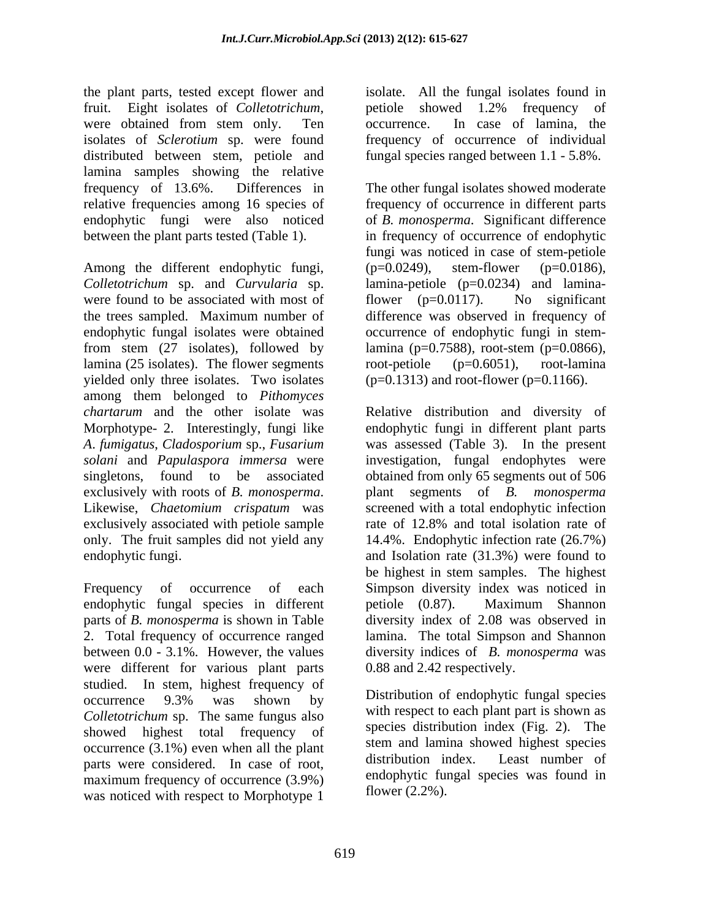the plant parts, tested except flower and isolate. All the fungal isolates found in fruit. Eight isolates of *Colletotrichum*, petiole showed 1.2% frequency of were obtained from stem only. Ten cocurrence. In case of lamina, the isolates of *Sclerotium* sp. were found frequency of occurrence of individual distributed between stem, petiole and lamina samples showing the relative

Among the different endophytic fungi, (p=0.0249), stem-flower (p=0.0186), *Colletotrichum* sp. and *Curvularia* sp. lamina-petiole (p=0.0234) and laminawere found to be associated with most of flower  $(p=0.0117)$ . No significant the trees sampled. Maximum number of difference was observed in frequency of endophytic fungal isolates were obtained occurrence of endophytic fungi in stemfrom stem (27 isolates), followed by lamina (p=0.7588), root-stem (p=0.0866), lamina (25 isolates). The flower segments  $\qquad \qquad$  root-petiole  $(p=0.6051)$ , root-lamina yielded only three isolates. Two isolates among them belonged to *Pithomyces chartarum* and the other isolate was Relative distribution and diversity of Morphotype- 2. Interestingly, fungi like endophytic fungi in different plant parts *A*. *fumigatus*, *Cladosporium* sp., *Fusarium*  was assessed (Table 3). In the present *solani* and *Papulaspora immersa* were investigation, fungal endophytes were singletons, found to be associated obtained from only 65 segments out of 506 exclusively with roots of *B. monosperma*. Likewise, *Chaetomium crispatum* was exclusively associated with petiole sample rate of 12.8% and total isolation rate of only. The fruit samples did not yield any 14.4%. Endophytic infection rate (26.7%) endophytic fungi. and Isolation rate (31.3%) were found to

Frequency of occurrence of each Simpson diversity index was noticed in endophytic fungal species in different petiole (0.87). Maximum Shannon parts of *B. monosperma* is shown in Table diversity index of 2.08 was observed in 2. Total frequency of occurrence ranged lamina. The total Simpson and Shannon between 0.0 - 3.1%. However, the values diversity indices of *B. monosperma* was were different for various plant parts studied. In stem, highest frequency of occurrence 9.3% was shown by Distribution of endophytic fungal species *Colletotrichum* sp. The same fungus also showed highest total frequency of occurrence (3.1%) even when all the plant stem and lamina showed highest species<br>distribution index. Least number of parts were considered. In case of root, maximum frequency of occurrence (3.9%) was noticed with respect to Morphotype 1

petiole showed 1.2% frequency of occurrence. In case of lamina, the fungal species ranged between 1.1 - 5.8%.

frequency of 13.6%. Differences in The other fungal isolates showed moderate relative frequencies among 16 species of frequency of occurrence in different parts endophytic fungi were also noticed of *B. monosperma*. Significant difference between the plant parts tested (Table 1). in frequency of occurrence of endophytic fungi was noticed in case of stem-petiole (p=0.0249), stem-flower (p=0.0186), flower (p=0.0117). No significant root-petiole (p=0.6051), root-lamina  $(p=0.1313)$  and root-flower (p=0.1166).

> plant segments of *B. monosperma* screened with a total endophytic infection rate of 12.8% and total isolation rate of be highest in stem samples. The highest petiole (0.87). Maximum Shannon 0.88 and 2.42 respectively.

Distribution of endophytic fungal species with respect to each plant part is shown as species distribution index (Fig. 2). The stem and lamina showed highest species distribution index. Least number of endophytic fungal species was found in flower (2.2%).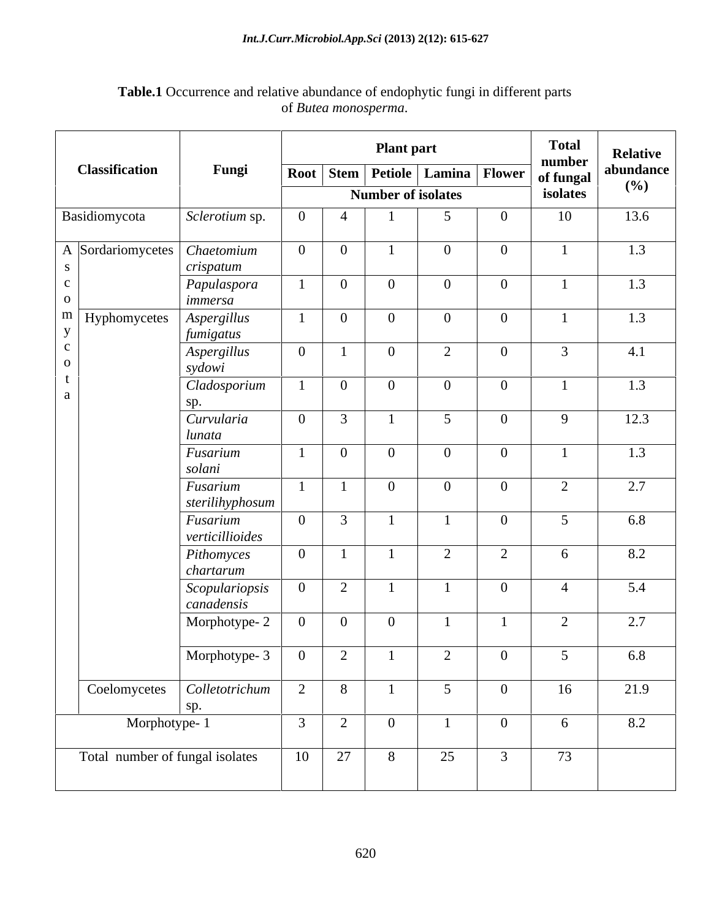### *Int.J.Curr.Microbiol.App.Sci* **(2013) 2(12): 615-627**

|                                 |                              |                |                | <b>Plant part</b> |                           | <b>Total</b><br>number                 |               | <b>Relative</b>  |
|---------------------------------|------------------------------|----------------|----------------|-------------------|---------------------------|----------------------------------------|---------------|------------------|
| <b>Classification</b>           | Fungi                        |                |                |                   |                           | <b>Root Stem Petiole Lamina Flower</b> | of fungal     | abundance<br>(%) |
|                                 |                              |                |                |                   | <b>Number of isolates</b> |                                        | isolates      |                  |
| Basidiomycota                   | Sclerotium sp.               | $\Omega$       | $\overline{4}$ |                   |                           | $\overline{0}$                         | 10            | 13.6             |
| A Sordariomycetes   Chaetomium  |                              | $\overline{0}$ | $\overline{0}$ |                   | $\overline{0}$            | $\overline{0}$                         |               | 1.3              |
|                                 | crispatum                    |                | $\overline{0}$ | $\bf{0}$          | $\overline{0}$            | $\overline{0}$                         |               |                  |
|                                 | Papulaspora<br>immersa       |                |                |                   |                           |                                        |               | 1.3              |
| $\mathbf{m}$ Hyphomycetes       | Aspergillus                  |                | $\overline{0}$ | $\Omega$          | $\overline{0}$            | $\overline{0}$                         |               | 1.3              |
|                                 | fumigatus<br>$ $ Aspergillus | $\overline{0}$ |                | $\overline{0}$    | $\bigcap$                 | $\overline{0}$                         | $\mathcal{R}$ | 4.1              |
|                                 | sydowi                       |                |                |                   |                           |                                        |               |                  |
|                                 | Cladosporium                 |                | $\overline{0}$ | $\Omega$          | $\overline{0}$            | $\overline{0}$                         |               | 1.3              |
|                                 | sp.<br>Curvularia            | $\Omega$       | $\mathcal{R}$  |                   | $\sim$                    | $\overline{0}$                         | $\mathbf{Q}$  | 12.3             |
|                                 | lunata                       |                |                |                   |                           |                                        |               |                  |
|                                 | Fusarium                     |                | $\overline{0}$ | $\overline{0}$    | $\overline{0}$            | $\overline{0}$                         |               | 1.3              |
|                                 | solani<br>Fusarium           |                |                | $\overline{0}$    | $\overline{0}$            | $\overline{0}$                         | $\bigcap$     | 2.7              |
|                                 | sterilihyphosum              |                |                |                   |                           |                                        |               |                  |
|                                 | Fusarium                     | $\overline{0}$ | $\overline{3}$ |                   |                           | $\overline{0}$                         |               | 6.8              |
|                                 | verticillioides              | $\theta$       |                |                   | 2                         | 2                                      | - 6           | 8.2              |
|                                 | Pithomyces<br>chartarum      |                |                |                   |                           |                                        |               |                  |
|                                 | Scopulariopsis               | $\overline{0}$ | 2              |                   |                           | $\overline{0}$                         |               | 5.4              |
|                                 | canadensis                   | $\overline{0}$ | $\overline{0}$ | $\overline{0}$    |                           |                                        | $\bigcap$     | 2.7              |
|                                 | Morphotype-2                 |                |                |                   |                           |                                        |               |                  |
|                                 | Morphotype- 3                | $\overline{0}$ | $\overline{a}$ |                   | $\overline{a}$            | $\overline{0}$                         |               | 6.8              |
| Coelomycetes   Colletotrichum   |                              | 2              | 8              |                   | 5 <sup>5</sup>            | $\overline{0}$                         | 16            | 21.9             |
|                                 | sp.                          | 3              | 2              |                   |                           | $\overline{0}$                         | 6             | 8.2              |
| Morphotype-1                    |                              |                |                | $\overline{0}$    |                           |                                        |               |                  |
| Total number of fungal isolates |                              | 10             | 27             | 8                 | 25                        | $\overline{3}$                         | 73            |                  |
|                                 |                              |                |                |                   |                           |                                        |               |                  |

### **Table.1** Occurrence and relative abundance of endophytic fungi in different parts of *Butea monosperma*.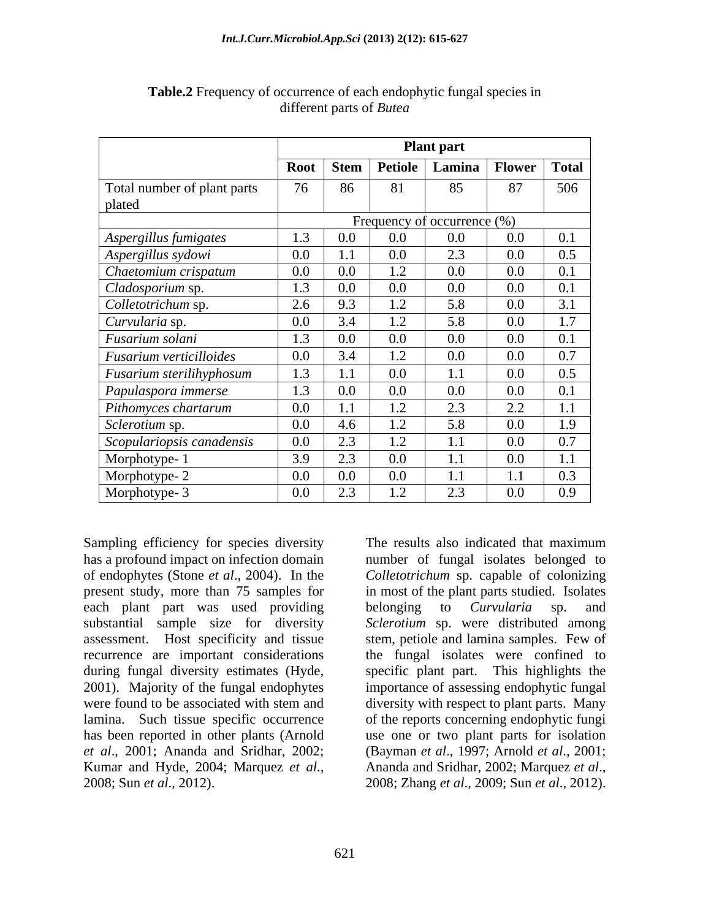|                                       |                | <b>Plant part</b> |                               |                                   |         |                       |  |
|---------------------------------------|----------------|-------------------|-------------------------------|-----------------------------------|---------|-----------------------|--|
|                                       | Root Stem      |                   |                               | Petiole   Lamina   Flower   Total |         |                       |  |
| Total number of plant parts<br>plated |                | 86                | 81                            | 85                                | 87      | 506                   |  |
|                                       |                |                   |                               | Frequency of occurrence (%)       |         |                       |  |
| Aspergillus fumigates                 |                | $0.0\,$           | $0.0\,$                       | $0.0\,$                           | $0.0\,$ | 0.1                   |  |
| Aspergillus sydowi                    | $0.0\,$        | 1.1               | $0.0\,$                       | 2.3                               | $0.0\,$ | 0.5                   |  |
| Chaetomium crispatum                  | $0.0\,$        | $0.0\,$           | $\mathsf{L} \cdot \mathsf{L}$ | $0.0\,$                           | $0.0\,$ | 0.1                   |  |
| Cladosporium sp.                      | 1.3            | $0.0\,$           | $0.0\,$                       | $0.0\,$                           | $0.0\,$ | 0.1                   |  |
| Colletotrichum sp.                    | 2.6            | 9.3               | 1.2                           | 5.8                               | $0.0\,$ | 3.1                   |  |
| Curvularia sp.                        | $0.0\,$        | 3.4               | 1.2                           | 5.8                               | $0.0\,$ | 1 <sub>7</sub><br>1.1 |  |
| Fusarium solani                       |                | $0.0\,$           | $0.0\,$                       | $0.0\,$                           | $0.0\,$ | $\Omega$ 1            |  |
| $\vert$ Fusarium verticilloides       | 0 <sub>0</sub> | 3.4               | 1.2                           | $0.0\,$                           | $0.0\,$ | 0.7                   |  |
| <b>Fusarium sterilihyphosum</b>       |                | 11                | $0.0\,$                       |                                   | $0.0\,$ | 0.5                   |  |
| Papulaspora immerse                   | 1 <sub>2</sub> | $0.0\,$           | $0.0\,$                       | $0.0\,$                           | $0.0\,$ | 0.1                   |  |
| Pithomyces chartarum                  | $0.0\,$        | $-1$ 1            | 1.2                           | 2.3                               | 2.2     | 1.1                   |  |
| Sclerotium sp.                        | 0.0            | 4.6               | 1.2                           | 5.8                               | $0.0\,$ | 1.9                   |  |
| Scopulariopsis canadensis             | $\Omega$       | 2.3               | 1.2                           |                                   | 0.0     | $\Omega$ $\tau$       |  |
| Morphotype-1                          | 3Q             | 2.3               | $0.0\,$                       |                                   | $0.0\,$ | $1\quad1$             |  |
| Morphotype-2                          | $0.0\,$        | $0.0\,$           | $0.0\,$                       |                                   |         |                       |  |
| Morphotype- 3                         | $0.0\,$        | 2.3               | 1.2                           | 2.3                               | $0.0\,$ | 0.9                   |  |

**Table.2** Frequency of occurrence of each endophytic fungal species in different parts of *Butea*

has a profound impact on infection domain number of fungal isolates belonged to of endophytes (Stone *et al*., 2004). In the *Colletotrichum* sp. capable of colonizing present study, more than 75 samples for in most of the plant parts studied. Isolates each plant part was used providing belonging to *Curvularia* sp. and substantial sample size for diversity *Sclerotium* sp. were distributed among assessment. Host specificity and tissue recurrence are important considerations during fungal diversity estimates (Hyde, specific plant part. This highlights the 2001). Majority of the fungal endophytes importance of assessing endophytic fungal were found to be associated with stem and diversity with respect to plant parts. Many lamina. Such tissue specific occurrence of the reports concerning endophytic fungi has been reported in other plants (Arnold use one or two plant parts for isolation *et al*., 2001; Ananda and Sridhar, 2002; (Bayman *et al*., 1997; Arnold *et al*., 2001; Kumar and Hyde, 2004; Marquez *et al*., 2008; Sun *et al*., 2012).

Sampling efficiency for species diversity The results also indicated that maximum The results also indicated that maximum belonging to *Curvularia* sp. and stem, petiole and lamina samples. Few of the fungal isolates were confined to diversity with respect to plant parts. Many Ananda and Sridhar, 2002; Marquez *et al*., 2008; Zhang *et al*., 2009; Sun *et al*., 2012).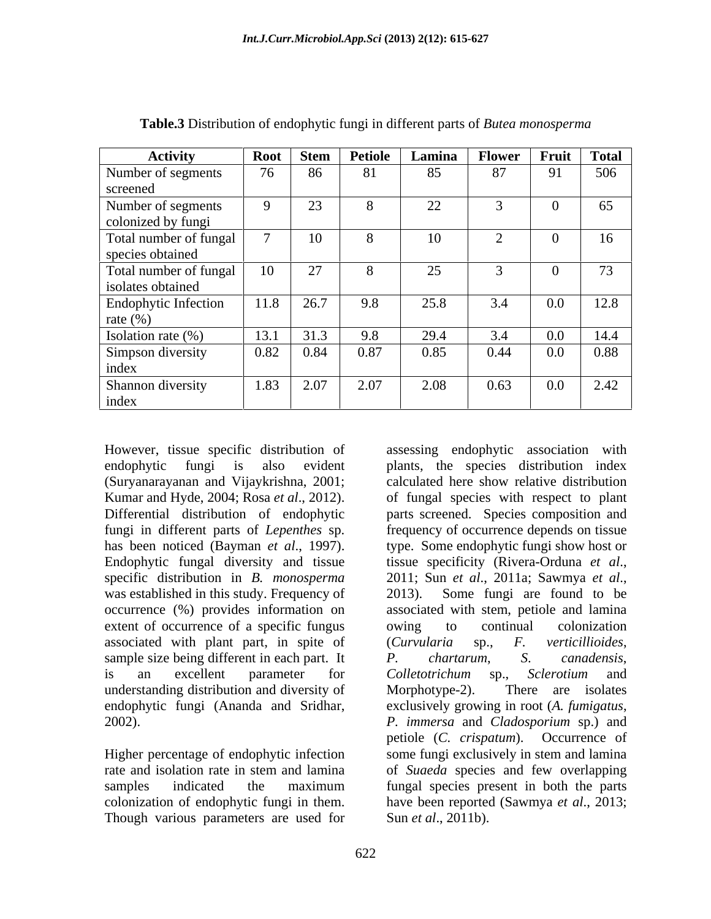| <b>Activity</b>        | Root | Stem          | <b>Petiole</b> | Lamina | Flower Fruit Total |                         |      |
|------------------------|------|---------------|----------------|--------|--------------------|-------------------------|------|
| Number of segments     | 76   | 86            | 81             | 85     | 87                 | $\Omega$ 1<br><b>11</b> | 506  |
| screened               |      |               |                |        |                    |                         |      |
| Number of segments     |      | 23            |                | 22     |                    |                         | 65   |
| colonized by fungi     |      |               |                |        |                    |                         |      |
| Total number of fungal |      | 10            |                | 10     |                    |                         | 16   |
| species obtained       |      |               |                |        |                    |                         |      |
| Total number of fungal | 10   | 27            |                | 25     |                    |                         | 73   |
| isolates obtained      |      |               |                |        |                    |                         |      |
| Endophytic Infection   | 11.8 | 26.7          | 9.8            | 25.8   | 3.4                | $0.0\,$                 | 12.8 |
| rate $(\%)$            |      |               |                |        |                    |                         |      |
| Isolation rate (%)     | 13.1 | 31.3          | 9.8            | 29.4   | 3.4                | $0.0\,$                 | 14.4 |
| Simpson diversity      |      | $0.82 \ 0.84$ | 0.87           | 0.85   | 0.44               | $0.0\,$                 | 0.88 |
| index                  |      |               |                |        |                    |                         |      |
| Shannon diversity      | 1.83 | 2.07          | 2.07           | 2.08   | 0.63               | $0.0\,$                 | 2.42 |
| index                  |      |               |                |        |                    |                         |      |

**Table.3** Distribution of endophytic fungi in different parts of *Butea monosperma*

However, tissue specific distribution of Endophytic fungal diversity and tissue tissue specificity (Rivera-Orduna et al., specific distribution in *B. monosperma* 2011; Sun *et al.*, 2011a; Sawmya *et al.*, was established in this study. Frequency of 2013). Some fungi are found to be extent of occurrence of a specific fungus owing to continual colonization associated with plant part, in spite of (Curvularia sp., F. verticillioides, sample size being different in each part. It  $P$ . *chartarum*, *S. canadensis,* understanding distribution and diversity of Morphotype-2). There are isolates

colonization of endophytic fungi in them. Though various parameters are used for

endophytic fungi is also evident plants, the species distribution index (Suryanarayanan and Vijaykrishna, 2001; calculated here show relative distribution Kumar and Hyde, 2004; Rosa *et al*., 2012). of fungal species with respect to plant Differential distribution of endophytic parts screened. Species composition and fungi in different parts of *Lepenthes* sp. frequency of occurrence depends on tissue has been noticed (Bayman *et al*., 1997). type. Some endophytic fungi show host or occurrence (%) provides information on associated with stem, petiole and lamina is an excellent parameter for *Colletotrichum* sp., Sclerotium and endophytic fungi (Ananda and Sridhar, exclusively growing in root (*A. fumigatus*, 2002). *P. immersa* and *Cladosporium* sp.) and Higher percentage of endophytic infection some fungi exclusively in stem and lamina rate and isolation rate in stem and lamina of *Suaeda* species and few overlapping samples indicated the maximum fungal species present in both the parts assessing endophytic association with tissue specificity (Rivera-Orduna *et al*., 2011; Sun *et al*., 2011a; Sawmya *et al*., 2013). Some fungi are found to be owing to continual colonization (*Curvularia* sp., *F. verticillioides*, *P. chartarum*, *S*. *canadensis*, *Colletotrichum* sp., *Sclerotium* and Morphotype-2). There are isolates petiole (*C. crispatum*). Occurrence of fungal species present in both the parts have been reported (Sawmya *et al*., 2013; Sun *et al*., 2011b).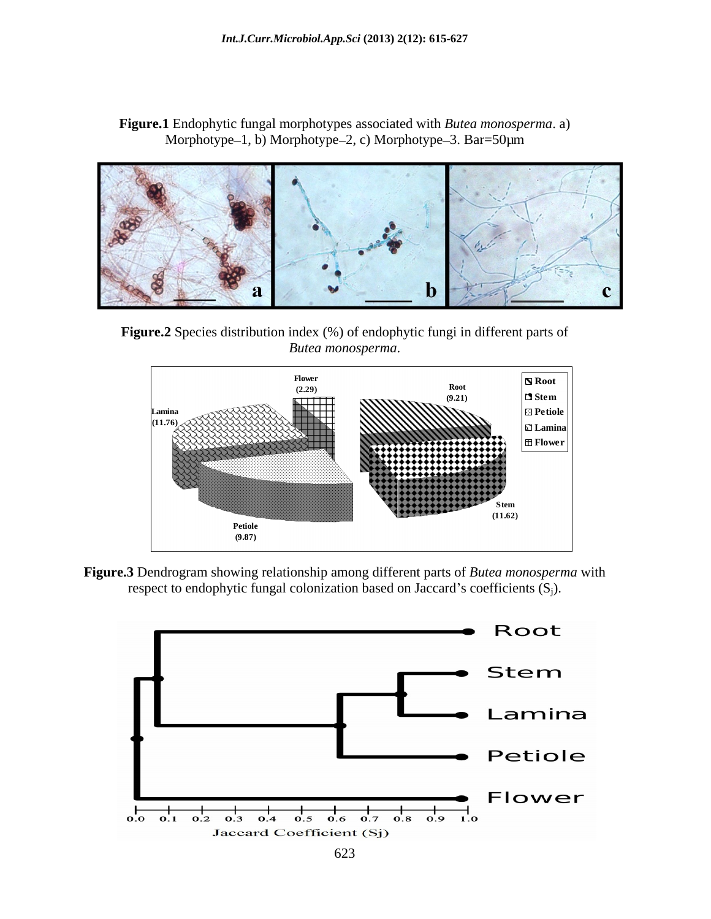**Figure.1** Endophytic fungal morphotypes associated with *Butea monosperma*. a) Morphotype-1, b) Morphotype-2, c) Morphotype-3. Bar=50 $\mu$ m



**Figure.2** Species distribution index (%) of endophytic fungi in different parts of *Butea monosperma*.





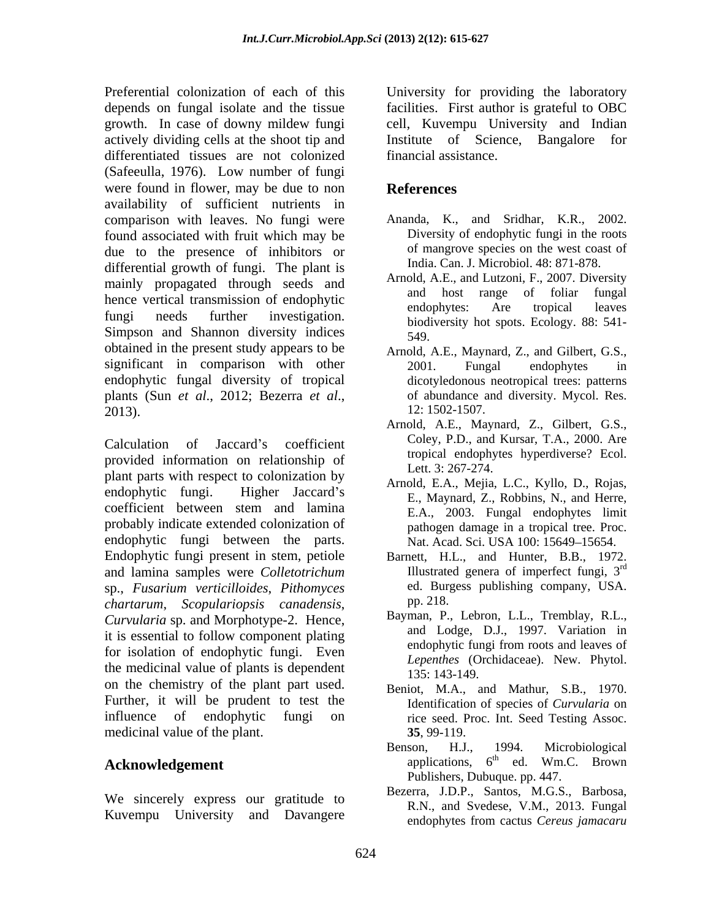Preferential colonization of each of this University for providing the laboratory depends on fungal isolate and the tissue growth. In case of downy mildew fungi actively dividing cells at the shoot tip and Institute of Science, Bangalore for differentiated tissues are not colonized (Safeeulla, 1976). Low number of fungi were found in flower, may be due to non **References** availability of sufficient nutrients in comparison with leaves. No fungi were found associated with fruit which may be due to the presence of inhibitors or differential growth of fungi. The plant is mainly propagated through seeds and Arnold, A.E., and Lutzon, F., 2007. Diversity<br>and host range of foliar fungal hence vertical transmission of endophytic and host range of folial fungal hence vertical transmission of endophytic endophytes: Are tropical leaves fungi needs further investigation. biodiversity hot spots. Ecology. 88: 541-Simpson and Shannon diversity indices  $\frac{549}{549}$ . obtained in the present study appears to be Arnold, A.E., Maynard, Z., and Gilbert, G.S., significant in comparison with other <br>2001. Fungal endophytes in endophytic fungal diversity of tropical plants (Sun *et al*., 2012; Bezerra *et al*., 2013).

Calculation of Jaccard's coefficient Coley, P.D., and Kursar, I.A., 2000. Are provided information on relationship of the transmission of the transmission of the transmission of the transmission of the transmission of the transmission of the transmission of the transmission of the transmission of th plant parts with respect to colonization by endophytic fungi. Higher Jaccard's E., Maynard, Z., Robbins, N., and Herre, coefficient between stem and lamina probably indicate extended colonization of endophytic fungi between the parts. Endophytic fungi present in stem, petiole Barnett, H.L., and Hunter, B.B., 1972. and lamina samples were *Colletotrichum* sp., *Fusarium verticilloides*, *Pithomyces chartarum*, *Scopulariopsis canadensis*, *Curvularia* sp. and Morphotype-2. Hence, it is essential to follow component plating for isolation of endophytic fungi. Even the medicinal value of plants is dependent  $\frac{25.143-149}{135.143-149}$ on the chemistry of the plant part used. Further, it will be prudent to test the influence of endophytic fungi on rice seed. Proc. Int. Seed Testing Assoc. medicinal value of the plant. 35, 99-119.

# **Acknowledgement** applications,

We sincerely express our gratitude to

facilities. First author is grateful to OBC cell, Kuvempu University and Indian financial assistance.

## **References**

- Ananda, K., and Sridhar, K.R., 2002. Diversity of endophytic fungi in the roots of mangrove species on the west coast of India. Can. J. Microbiol. 48: 871-878.
- Arnold, A.E., and Lutzoni, F., 2007. Diversity and host range of foliar endophytes: Are tropical leaves 549.
- 2001. Fungal endophytes in dicotyledonous neotropical trees: patterns of abundance and diversity. Mycol. Res. 12: 1502-1507.
- Arnold, A.E., Maynard, Z., Gilbert, G.S., Coley, P.D., and Kursar, T.A., 2000. Are tropical endophytes hyperdiverse? Ecol. Lett. 3: 267-274.
- Arnold, E.A., Mejia, L.C., Kyllo, D., Rojas, E.A., 2003. Fungal endophytes limit pathogen damage in a tropical tree. Proc. Nat. Acad. Sci. USA 100: 15649-15654.
- Barnett, H.L., and Hunter, B.B., 1972.<br>Illustrated genera of imperfect fungi,  $3^{rd}$ rd ed. Burgess publishing company, USA. pp. 218.
- Bayman, P., Lebron, L.L., Tremblay, R.L., and Lodge, D.J., 1997. Variation in endophytic fungi from roots and leaves of *Lepenthes* (Orchidaceae). New. Phytol. 135: 143-149.
- Beniot, M.A., and Mathur, S.B., 1970. Identification of species of *Curvularia* on **35**, 99-119.
- Benson, H.J., 1994. Microbiological  $6<sup>th</sup>$  ed. Wm.C. Brown <sup>th</sup> ed. Wm.C. Brown Publishers, Dubuque. pp. 447.
- Kuvempu University and Davangere  $\frac{1}{2}$  endoptives from eactus Cereus iamacarum Bezerra, J.D.P., Santos, M.G.S., Barbosa, R.N., and Svedese, V.M., 2013. Fungal endophytes from cactus *Cereus jamacaru*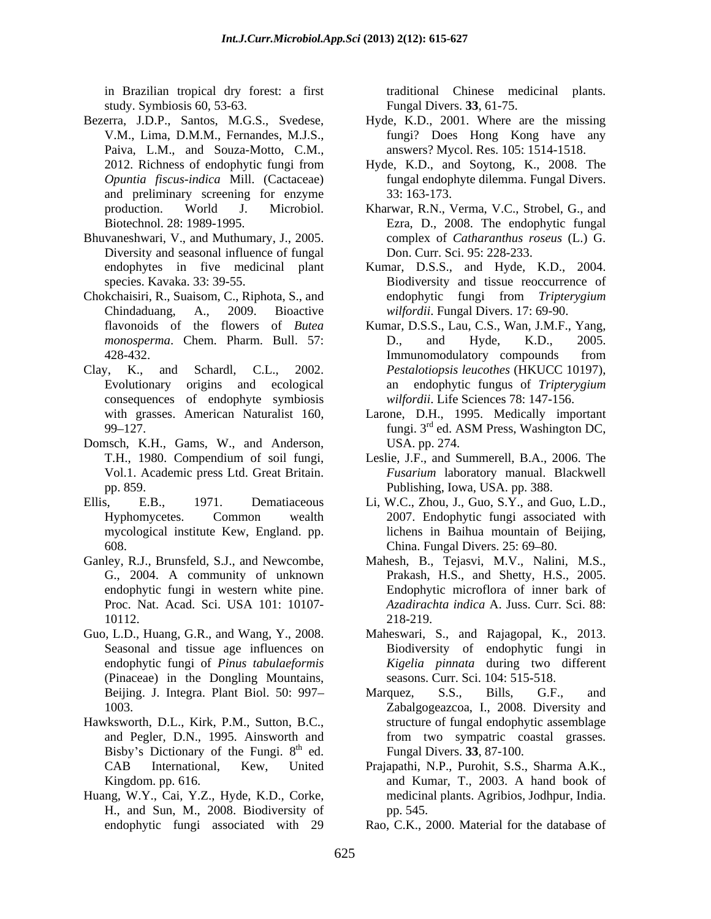study. Symbiosis 60, 53-63.

- Bezerra, J.D.P., Santos, M.G.S., Svedese, Hyde, K.D., 2001. Where are the missing Paiva, L.M., and Souza-Motto, C.M., and preliminary screening for enzyme 33:163-173.
- Bhuvaneshwari, V., and Muthumary, J., 2005. Diversity and seasonal influence of fungal
- 
- consequences of endophyte symbiosis
- Domsch, K.H., Gams, W., and Anderson, USA. pp. 274. Vol.1. Academic press Ltd. Great Britain.
- Ellis, E.B., 1971. Dematiaceous Li, W.C., Zhou, J., Guo, S.Y., and Guo, L.D.,
- Ganley, R.J., Brunsfeld, S.J., and Newcombe, Mahesh, B., Tejasvi, M.V., Nalini, M.S., G., 2004. A community of unknown
- Guo, L.D., Huang, G.R., and Wang, Y., 2008. Maheswari, S., and Rajagopal, K., 2013. (Pinaceae) in the Dongling Mountains,
- Hawksworth, D.L., Kirk, P.M., Sutton, B.C., Bisby's Dictionary of the Fungi.  $8<sup>th</sup>$  ed.
- Huang, W.Y., Cai, Y.Z., Hyde, K.D., Corke, H., and Sun, M., 2008. Biodiversity of

in Brazilian tropical dry forest: a first traditional Chinese medicinal plants. Fungal Divers. **33**, 61-75.

- V.M., Lima, D.M.M., Fernandes, M.J.S., fungi? Does Hong Kong have any answers? Mycol. Res. 105: 1514-1518.
- 2012. Richness of endophytic fungi from Hyde,K.D., and Soytong, K., 2008. The *Opuntia fiscus-indica* Mill. (Cactaceae) fungal endophyte dilemma. Fungal Divers. 33: 163-173.
- production. World J. Microbiol. Kharwar, R.N., Verma, V.C., Strobel, G., and Biotechnol. 28: 1989-1995. Ezra, D., 2008. The endophytic fungal complex of *Catharanthus roseus* (L.) G. Don. Curr. Sci. 95: 228-233.
- endophytes in five medicinal plant Kumar, D.S.S., and Hyde, K.D., 2004. species. Kavaka. 33: 39-55. Biodiversity and tissue reoccurrence of Chokchaisiri, R., Suaisom, C., Riphota, S., and Chindaduang, A., 2009. Bioactive *wilfordii*. Fungal Divers. 17: 69-90. endophytic fungi from *Tripterygium*
- flavonoids of the flowers of *Butea*  Kumar, D.S.S., Lau, C.S., Wan, J.M.F., Yang, *monosperma*. Chem. Pharm. Bull. 57: D., and Hyde, K.D., 2005. 428-432. Immunomodulatory compounds from Clay, K., and Schardl, C.L., 2002. *Pestalotiopsis leucothes* (HKUCC 10197), Evolutionary origins and ecological an endophytic fungus of *Tripterygium*  D., and Hyde, K.D., 2005. Immunomodulatory compounds from *wilfordii*. Life Sciences 78: 147-156.
	- with grasses. American Naturalist 160, Larone, D.H., 1995. Medically important 99–127. **Example 2018** 12 and 2<sup>rd</sup> ed. ASM Press, Washington DC, fungi. 3<sup>rd</sup> ed. ASM Press, Washington DC, USA. pp. 274.
	- T.H., 1980. Compendium of soil fungi, Leslie, J.F., and Summerell, B.A., 2006. The pp. 859. Publishing, Iowa, USA. pp. 388. *Fusarium* laboratory manual. Blackwell
	- Hyphomycetes. Common wealth 2007. Endophytic fungi associated with mycological institute Kew, England. pp. lichens in Baihua mountain of Beijing, 608. China. Fungal Divers. 25: 69–80.
	- endophytic fungi in western white pine. Endophytic microflora of inner bark of Proc. Nat. Acad. Sci. USA 101: 10107- *Azadirachta indica* A. Juss. Curr. Sci. 88: 10112. 218-219. Prakash, H.S., and Shetty, H.S., 2005. 218-219.
	- Seasonal and tissue age influences on Biodiversity of endophytic fungi in endophytic fungi of *Pinus tabulaeformis Kigelia pinnata* during two different seasons. Curr. Sci. 104: 515-518.
	- Beijing. J. Integra. Plant Biol. 50: 997- Marquez, S.S., Bills, G.F., and 1003. Zabalgogeazcoa, I., 2008. Diversity and and Pegler, D.N., 1995. Ainsworth and from two sympatric coastal grasses.  $^{th}$  ed. Fungal Divers. 33, 87-100. Marquez, S.S., Bills, G.F., and structure of fungal endophytic assemblage Fungal Divers. **33**, 87-100.
	- CAB International, Kew, United Prajapathi, N.P., Purohit, S.S., Sharma A.K., Kingdom. pp. 616. The same of the same and Kumar, T., 2003. A hand book of the same of the same of the same of medicinal plants. Agribios, Jodhpur, India. pp. 545.
	- endophytic fungi associated with 29 Rao, C.K., 2000. Material for the database of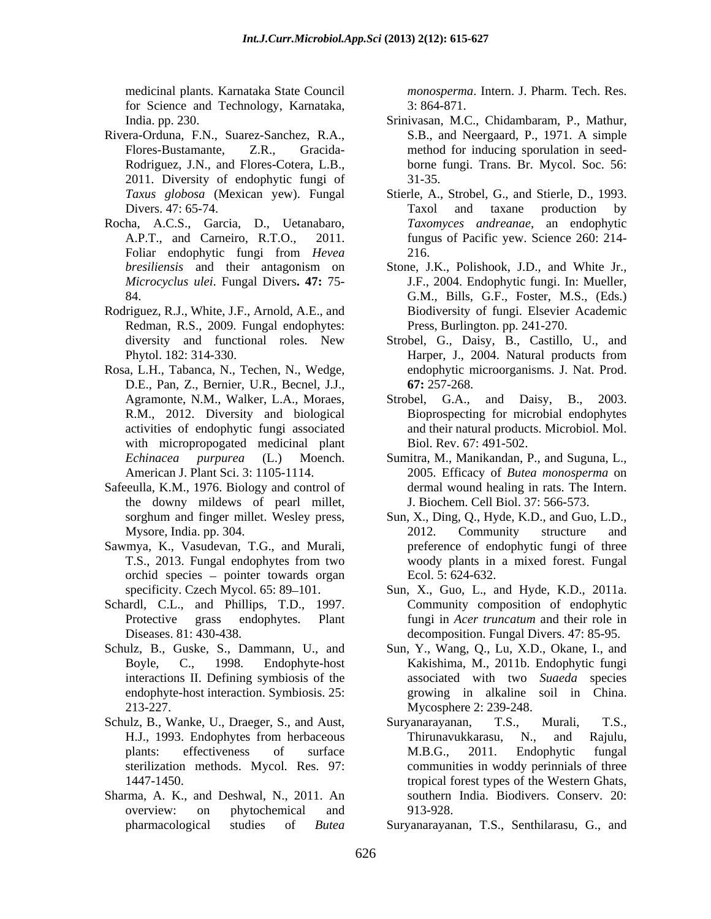for Science and Technology, Karnataka, 3:864-871.

- Rivera-Orduna, F.N., Suarez-Sanchez, R.A., 2011. Diversity of endophytic fungi of
- Rocha, A.C.S., Garcia, D., Uetanabaro, Foliar endophytic fungi from *Hevea*
- Rodriguez, R.J., White, J.F., Arnold, A.E., and Redman, R.S., 2009. Fungal endophytes:
- Rosa, L.H., Tabanca, N., Techen, N., Wedge, D.E., Pan, Z., Bernier, U.R., Becnel, J.J., R.M., 2012. Diversity and biological with micropropogated medicinal plant
- Safeeulla, K.M., 1976. Biology and control of the downy mildews of pearl millet,
- Sawmya, K., Vasudevan, T.G., and Murali, orchid species - pointer towards organ
- Schardl, C.L., and Phillips, T.D., 1997. Community composition of endophytic
- 
- Schulz, B., Wanke, U., Draeger, S., and Aust, Suryanarayanan, T.S., Murali, T.S., H.J., 1993. Endonbvtes from herbaceous Thirunavukkarasu, N., and Rajulu,
- Sharma, A. K., and Deshwal, N., 2011. An

medicinal plants. Karnataka State Council *monosperma*. Intern. J. Pharm. Tech. Res. 3: 864-871.

- India. pp. 230. Srinivasan, M.C., Chidambaram, P., Mathur, Flores-Bustamante, Z.R., Gracida- method for inducing sporulation in seed- Rodriguez, J.N., and Flores-Cotera, L.B., borne fungi. Trans. Br. Mycol. Soc. 56: S.B., and Neergaard, P., 1971. A simple 31-35.
- *Taxus globosa* (Mexican yew). Fungal Stierle, A., Strobel, G., and Stierle, D., 1993. Divers. 47: 65-74. Taxol and taxane production by A.P.T., and Carneiro, R.T.O., 2011. fungus of Pacific yew. Science 260: 214- *Taxomyces andreanae*, an endophytic 216.
- *bresiliensis* and their antagonism on Stone, J.K., Polishook, J.D., and White Jr., *Microcyclus ulei*. Fungal Divers**. 47:** 75- J.F., 2004. Endophytic fungi. In: Mueller, 84. G.M., Bills, G.F., Foster, M.S., (Eds.) Biodiversity of fungi. Elsevier Academic Press, Burlington. pp. 241-270.
- diversity and functional roles. New Strobel, G., Daisy, B., Castillo, U., and Phytol. 182: 314-330. Harper, J., 2004. Natural products from endophytic microorganisms. J. Nat. Prod. **67:** 257-268.
- Agramonte, N.M., Walker, L.A., Moraes, Strobel, G.A., and Daisy, B., 2003. activities of endophytic fungi associated and their natural products. Microbiol. Mol. Strobel, G.A., and Daisy, Bioprospecting for microbial endophytes Biol. Rev. 67: 491-502.
- *Echinacea purpurea* (L.) Moench. Sumitra, M., Manikandan, P., and Suguna, L., American J. Plant Sci. 3: 1105-1114. 2005. Efficacy of *Butea monosperma* on dermal wound healing in rats. The Intern. J. Biochem. Cell Biol. 37: 566-573.
- sorghum and finger millet. Wesley press, Sun, X., Ding, Q., Hyde, K.D., and Guo, L.D., Mysore, India. pp. 304. 2012. Community structure and T.S., 2013. Fungal endophytes from two 2012. Community structure and preference of endophytic fungi of three woody plants in a mixed forest. Fungal Ecol. 5: 624-632.
- specificity. Czech Mycol. 65: 89–101. Sun, X., Guo, L., and Hyde, K.D., 2011a. Protective grass endophytes. Plant fungi in *Acer truncatum* and their role in Diseases. 81: 430-438. decomposition. Fungal Divers. 47: 85-95. Sun, X., Guo, L., and Hyde, K.D., 2011a. Community composition of endophytic
- Schulz, B., Guske, S., Dammann, U., and Sun, Y., Wang, Q., Lu, X.D., Okane, I., and Boyle, C., 1998. Endophyte-host Kakishima, M., 2011b. Endophytic fungi interactions II. Defining symbiosis of the associated with two *Suaeda* species endophyte-host interaction. Symbiosis. 25: growing in alkaline soil in China. 213-227. Mycosphere 2: 239-248.
	- H.J., 1993. Endophytes from herbaceous plants: effectiveness of surface M.B.G., 2011. Endophytic fungal sterilization methods. Mycol. Res. 97: communities in woddy perinnials of three 1447-1450. tropical forest types of the Western Ghats, overview: on phytochemical and 913-928. Suryanarayanan, T.S., Murali, T.S., Thirunavukkarasu, N., and Rajulu, M.B.G., 2011. Endophytic fungal southern India. Biodivers. Conserv. 20: 913-928.

pharmacological studies of *Butea*  Suryanarayanan, T.S., Senthilarasu, G., and